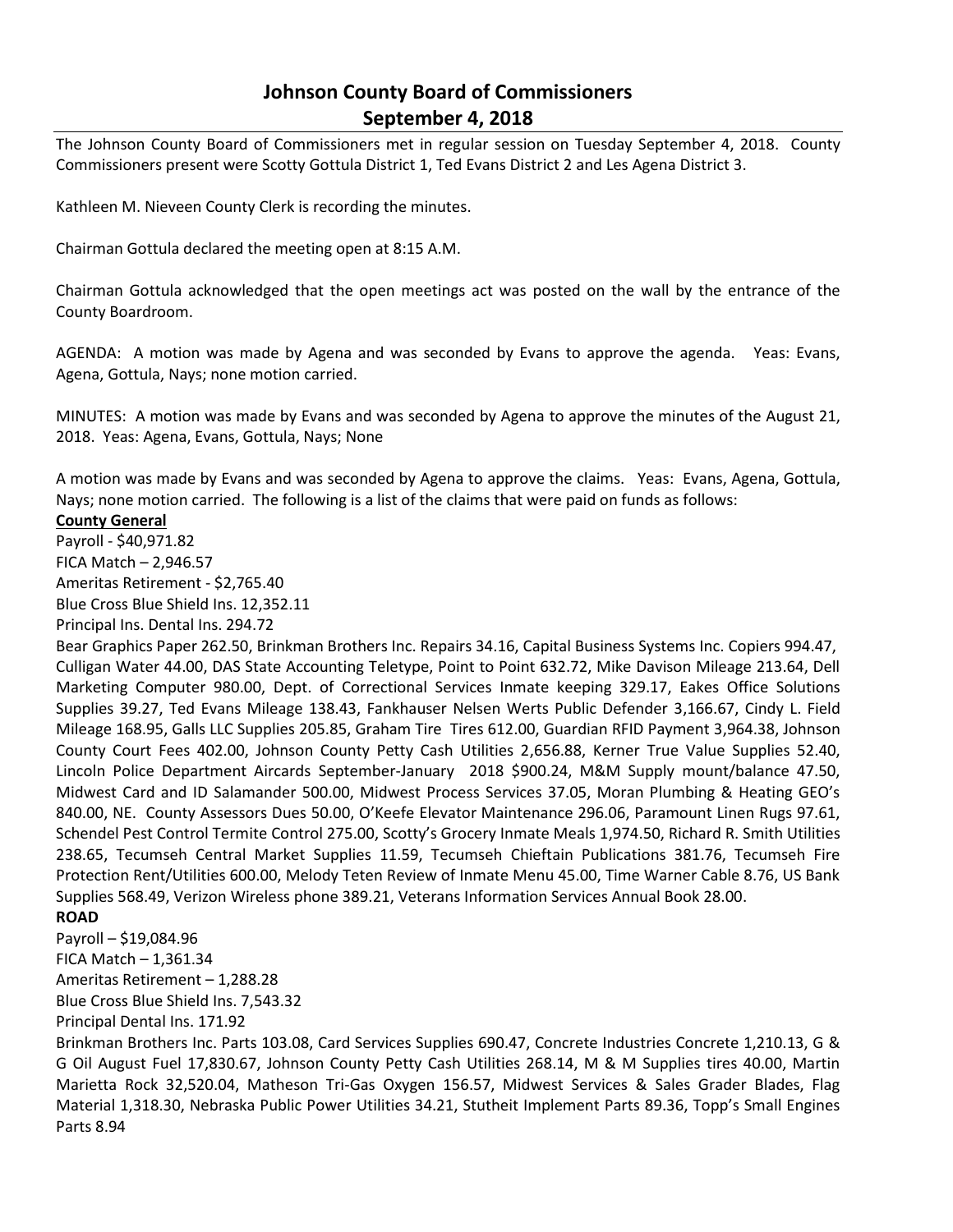## **Johnson County Board of Commissioners September 4, 2018**

The Johnson County Board of Commissioners met in regular session on Tuesday September 4, 2018. County Commissioners present were Scotty Gottula District 1, Ted Evans District 2 and Les Agena District 3.

Kathleen M. Nieveen County Clerk is recording the minutes.

Chairman Gottula declared the meeting open at 8:15 A.M.

Chairman Gottula acknowledged that the open meetings act was posted on the wall by the entrance of the County Boardroom.

AGENDA: A motion was made by Agena and was seconded by Evans to approve the agenda. Yeas: Evans, Agena, Gottula, Nays; none motion carried.

MINUTES: A motion was made by Evans and was seconded by Agena to approve the minutes of the August 21, 2018. Yeas: Agena, Evans, Gottula, Nays; None

A motion was made by Evans and was seconded by Agena to approve the claims. Yeas: Evans, Agena, Gottula, Nays; none motion carried. The following is a list of the claims that were paid on funds as follows:

## **County General**

Payroll - \$40,971.82 FICA Match – 2,946.57 Ameritas Retirement - \$2,765.40 Blue Cross Blue Shield Ins. 12,352.11

Principal Ins. Dental Ins. 294.72

Bear Graphics Paper 262.50, Brinkman Brothers Inc. Repairs 34.16, Capital Business Systems Inc. Copiers 994.47, Culligan Water 44.00, DAS State Accounting Teletype, Point to Point 632.72, Mike Davison Mileage 213.64, Dell Marketing Computer 980.00, Dept. of Correctional Services Inmate keeping 329.17, Eakes Office Solutions Supplies 39.27, Ted Evans Mileage 138.43, Fankhauser Nelsen Werts Public Defender 3,166.67, Cindy L. Field Mileage 168.95, Galls LLC Supplies 205.85, Graham Tire Tires 612.00, Guardian RFID Payment 3,964.38, Johnson County Court Fees 402.00, Johnson County Petty Cash Utilities 2,656.88, Kerner True Value Supplies 52.40, Lincoln Police Department Aircards September-January 2018 \$900.24, M&M Supply mount/balance 47.50, Midwest Card and ID Salamander 500.00, Midwest Process Services 37.05, Moran Plumbing & Heating GEO's 840.00, NE. County Assessors Dues 50.00, O'Keefe Elevator Maintenance 296.06, Paramount Linen Rugs 97.61, Schendel Pest Control Termite Control 275.00, Scotty's Grocery Inmate Meals 1,974.50, Richard R. Smith Utilities 238.65, Tecumseh Central Market Supplies 11.59, Tecumseh Chieftain Publications 381.76, Tecumseh Fire Protection Rent/Utilities 600.00, Melody Teten Review of Inmate Menu 45.00, Time Warner Cable 8.76, US Bank Supplies 568.49, Verizon Wireless phone 389.21, Veterans Information Services Annual Book 28.00.

## **ROAD**

Payroll – \$19,084.96 FICA Match – 1,361.34 Ameritas Retirement – 1,288.28

Blue Cross Blue Shield Ins. 7,543.32

Principal Dental Ins. 171.92

Brinkman Brothers Inc. Parts 103.08, Card Services Supplies 690.47, Concrete Industries Concrete 1,210.13, G & G Oil August Fuel 17,830.67, Johnson County Petty Cash Utilities 268.14, M & M Supplies tires 40.00, Martin Marietta Rock 32,520.04, Matheson Tri-Gas Oxygen 156.57, Midwest Services & Sales Grader Blades, Flag Material 1,318.30, Nebraska Public Power Utilities 34.21, Stutheit Implement Parts 89.36, Topp's Small Engines Parts 8.94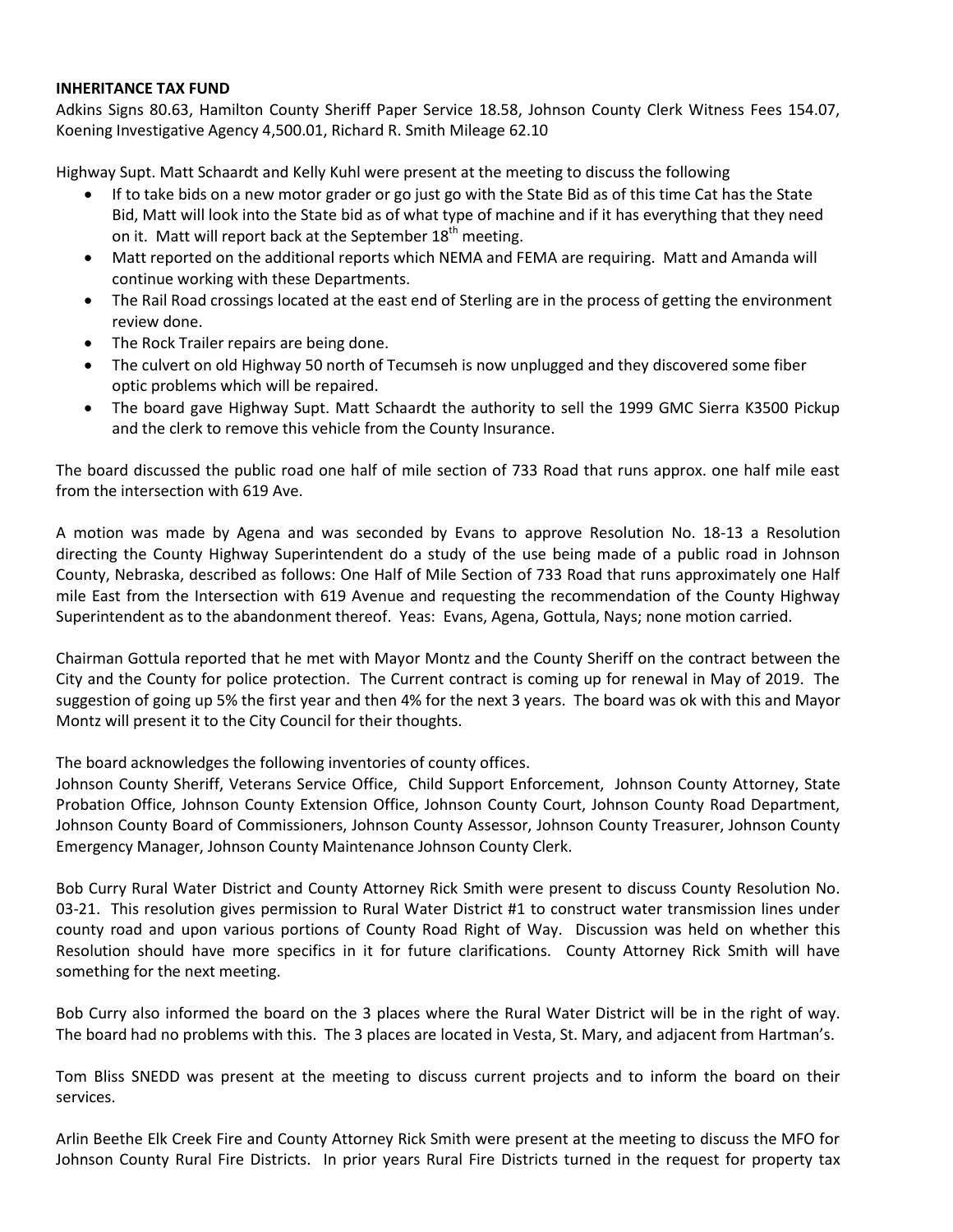## **INHERITANCE TAX FUND**

Adkins Signs 80.63, Hamilton County Sheriff Paper Service 18.58, Johnson County Clerk Witness Fees 154.07, Koening Investigative Agency 4,500.01, Richard R. Smith Mileage 62.10

Highway Supt. Matt Schaardt and Kelly Kuhl were present at the meeting to discuss the following

- If to take bids on a new motor grader or go just go with the State Bid as of this time Cat has the State Bid, Matt will look into the State bid as of what type of machine and if it has everything that they need on it. Matt will report back at the September  $18<sup>th</sup>$  meeting.
- Matt reported on the additional reports which NEMA and FEMA are requiring. Matt and Amanda will continue working with these Departments.
- The Rail Road crossings located at the east end of Sterling are in the process of getting the environment review done.
- The Rock Trailer repairs are being done.
- The culvert on old Highway 50 north of Tecumseh is now unplugged and they discovered some fiber optic problems which will be repaired.
- The board gave Highway Supt. Matt Schaardt the authority to sell the 1999 GMC Sierra K3500 Pickup and the clerk to remove this vehicle from the County Insurance.

The board discussed the public road one half of mile section of 733 Road that runs approx. one half mile east from the intersection with 619 Ave.

A motion was made by Agena and was seconded by Evans to approve Resolution No. 18-13 a Resolution directing the County Highway Superintendent do a study of the use being made of a public road in Johnson County, Nebraska, described as follows: One Half of Mile Section of 733 Road that runs approximately one Half mile East from the Intersection with 619 Avenue and requesting the recommendation of the County Highway Superintendent as to the abandonment thereof. Yeas: Evans, Agena, Gottula, Nays; none motion carried.

Chairman Gottula reported that he met with Mayor Montz and the County Sheriff on the contract between the City and the County for police protection. The Current contract is coming up for renewal in May of 2019. The suggestion of going up 5% the first year and then 4% for the next 3 years. The board was ok with this and Mayor Montz will present it to the City Council for their thoughts.

The board acknowledges the following inventories of county offices.

Johnson County Sheriff, Veterans Service Office, Child Support Enforcement, Johnson County Attorney, State Probation Office, Johnson County Extension Office, Johnson County Court, Johnson County Road Department, Johnson County Board of Commissioners, Johnson County Assessor, Johnson County Treasurer, Johnson County Emergency Manager, Johnson County Maintenance Johnson County Clerk.

Bob Curry Rural Water District and County Attorney Rick Smith were present to discuss County Resolution No. 03-21. This resolution gives permission to Rural Water District #1 to construct water transmission lines under county road and upon various portions of County Road Right of Way. Discussion was held on whether this Resolution should have more specifics in it for future clarifications. County Attorney Rick Smith will have something for the next meeting.

Bob Curry also informed the board on the 3 places where the Rural Water District will be in the right of way. The board had no problems with this. The 3 places are located in Vesta, St. Mary, and adjacent from Hartman's.

Tom Bliss SNEDD was present at the meeting to discuss current projects and to inform the board on their services.

Arlin Beethe Elk Creek Fire and County Attorney Rick Smith were present at the meeting to discuss the MFO for Johnson County Rural Fire Districts. In prior years Rural Fire Districts turned in the request for property tax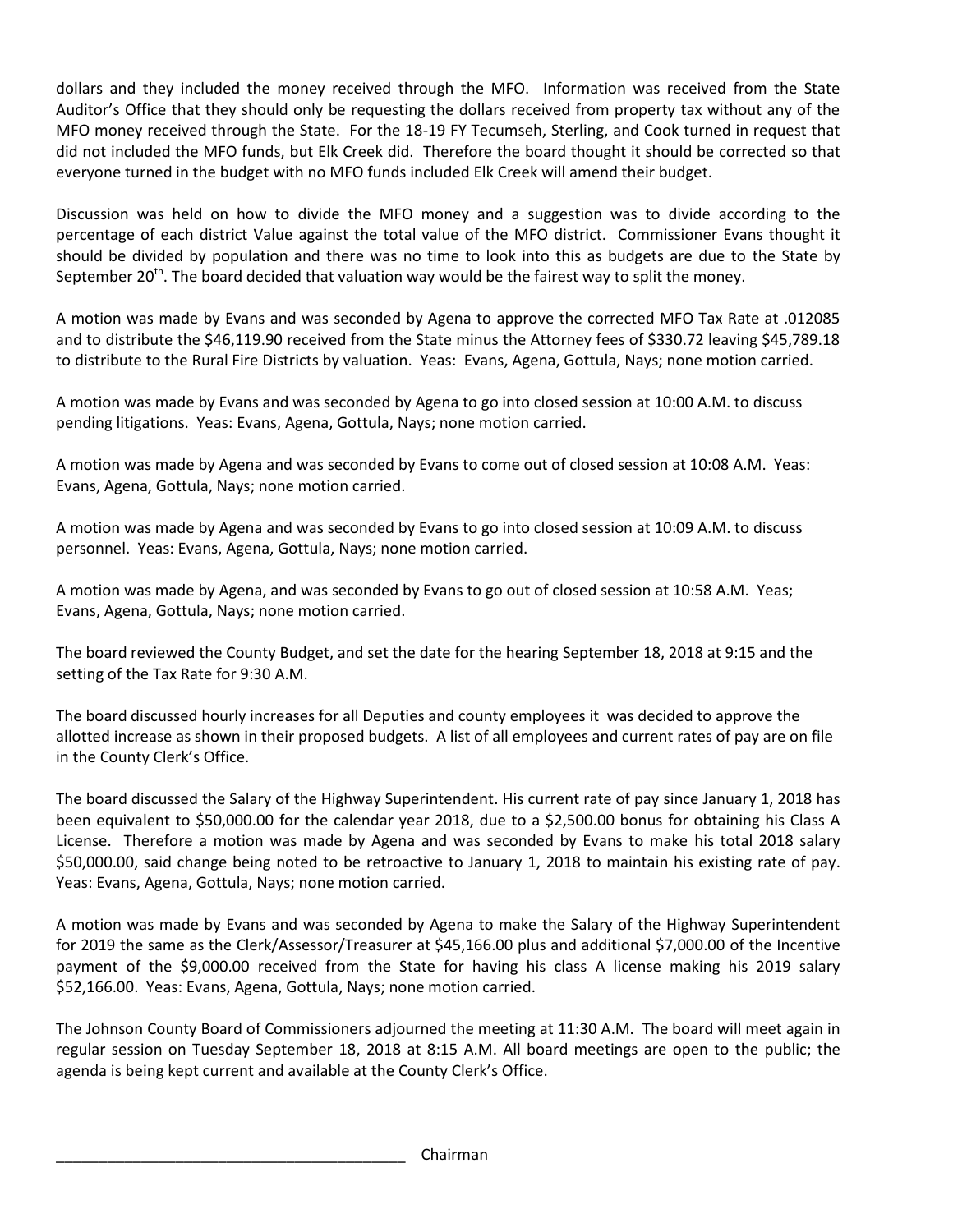dollars and they included the money received through the MFO. Information was received from the State Auditor's Office that they should only be requesting the dollars received from property tax without any of the MFO money received through the State. For the 18-19 FY Tecumseh, Sterling, and Cook turned in request that did not included the MFO funds, but Elk Creek did. Therefore the board thought it should be corrected so that everyone turned in the budget with no MFO funds included Elk Creek will amend their budget.

Discussion was held on how to divide the MFO money and a suggestion was to divide according to the percentage of each district Value against the total value of the MFO district. Commissioner Evans thought it should be divided by population and there was no time to look into this as budgets are due to the State by September 20<sup>th</sup>. The board decided that valuation way would be the fairest way to split the money.

A motion was made by Evans and was seconded by Agena to approve the corrected MFO Tax Rate at .012085 and to distribute the \$46,119.90 received from the State minus the Attorney fees of \$330.72 leaving \$45,789.18 to distribute to the Rural Fire Districts by valuation. Yeas: Evans, Agena, Gottula, Nays; none motion carried.

A motion was made by Evans and was seconded by Agena to go into closed session at 10:00 A.M. to discuss pending litigations. Yeas: Evans, Agena, Gottula, Nays; none motion carried.

A motion was made by Agena and was seconded by Evans to come out of closed session at 10:08 A.M. Yeas: Evans, Agena, Gottula, Nays; none motion carried.

A motion was made by Agena and was seconded by Evans to go into closed session at 10:09 A.M. to discuss personnel. Yeas: Evans, Agena, Gottula, Nays; none motion carried.

A motion was made by Agena, and was seconded by Evans to go out of closed session at 10:58 A.M. Yeas; Evans, Agena, Gottula, Nays; none motion carried.

The board reviewed the County Budget, and set the date for the hearing September 18, 2018 at 9:15 and the setting of the Tax Rate for 9:30 A.M.

The board discussed hourly increases for all Deputies and county employees it was decided to approve the allotted increase as shown in their proposed budgets. A list of all employees and current rates of pay are on file in the County Clerk's Office.

The board discussed the Salary of the Highway Superintendent. His current rate of pay since January 1, 2018 has been equivalent to \$50,000.00 for the calendar year 2018, due to a \$2,500.00 bonus for obtaining his Class A License. Therefore a motion was made by Agena and was seconded by Evans to make his total 2018 salary \$50,000.00, said change being noted to be retroactive to January 1, 2018 to maintain his existing rate of pay. Yeas: Evans, Agena, Gottula, Nays; none motion carried.

A motion was made by Evans and was seconded by Agena to make the Salary of the Highway Superintendent for 2019 the same as the Clerk/Assessor/Treasurer at \$45,166.00 plus and additional \$7,000.00 of the Incentive payment of the \$9,000.00 received from the State for having his class A license making his 2019 salary \$52,166.00. Yeas: Evans, Agena, Gottula, Nays; none motion carried.

The Johnson County Board of Commissioners adjourned the meeting at 11:30 A.M. The board will meet again in regular session on Tuesday September 18, 2018 at 8:15 A.M. All board meetings are open to the public; the agenda is being kept current and available at the County Clerk's Office.

\_\_\_\_\_\_\_\_\_\_\_\_\_\_\_\_\_\_\_\_\_\_\_\_\_\_\_\_\_\_\_\_\_\_\_\_\_\_\_\_\_ Chairman